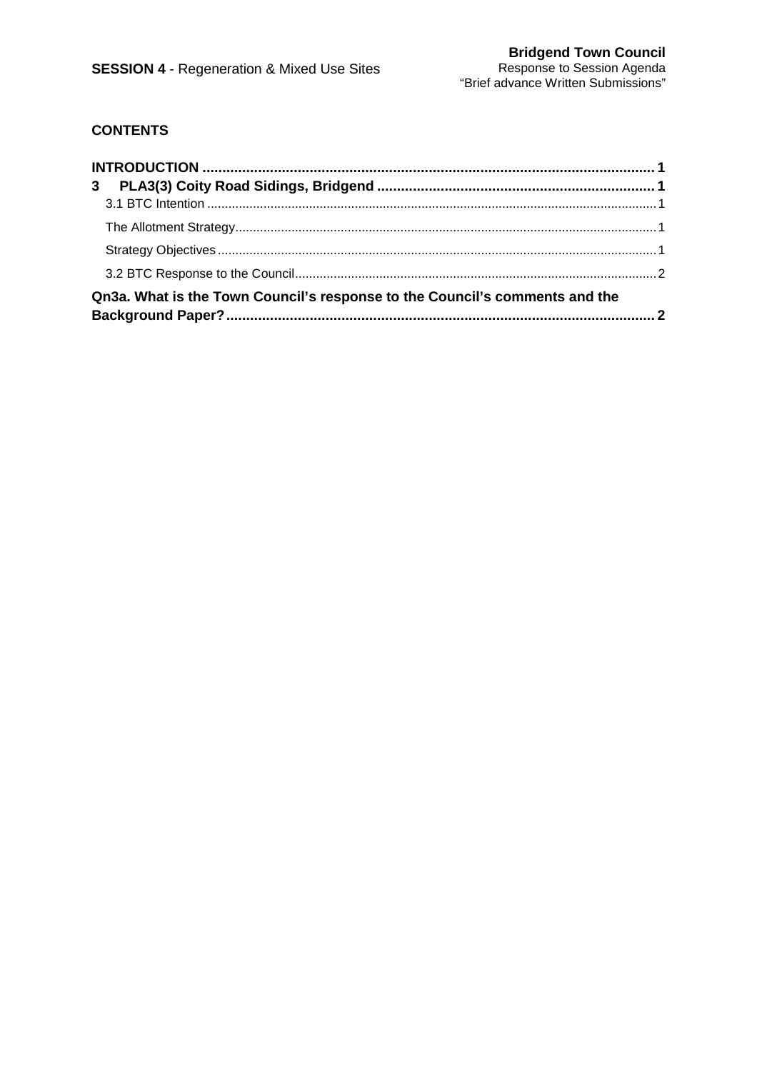# **CONTENTS**

| Qn3a. What is the Town Council's response to the Council's comments and the |  |
|-----------------------------------------------------------------------------|--|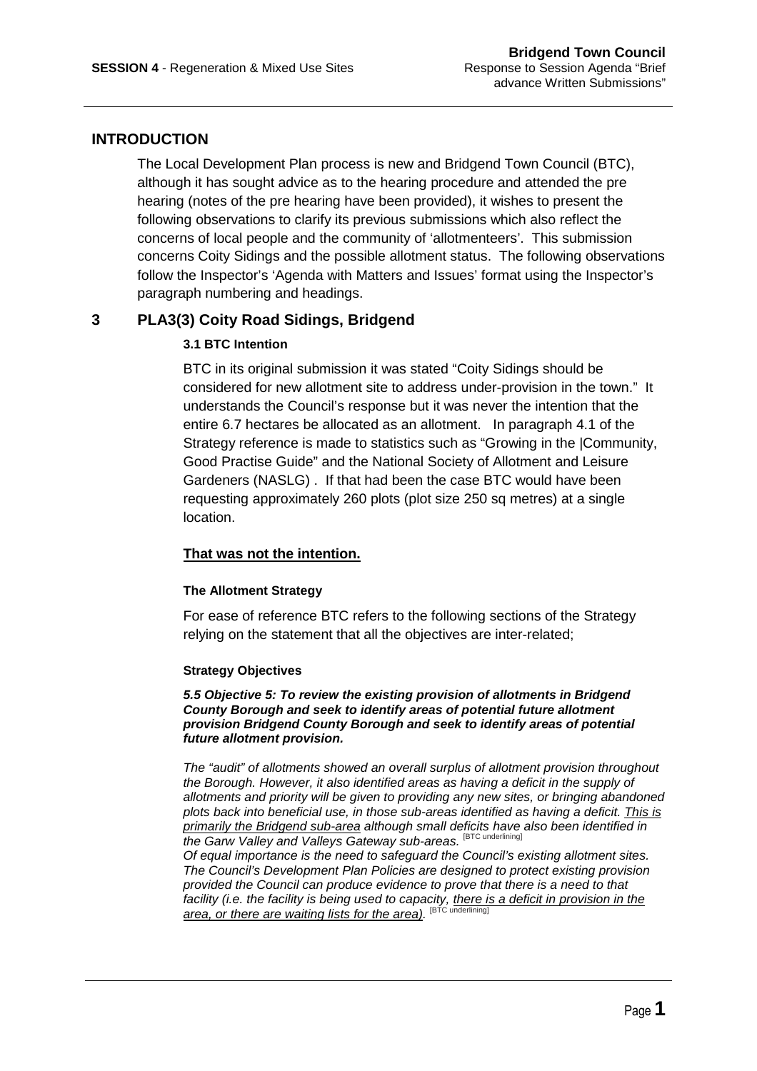# **INTRODUCTION**

The Local Development Plan process is new and Bridgend Town Council (BTC), although it has sought advice as to the hearing procedure and attended the pre hearing (notes of the pre hearing have been provided), it wishes to present the following observations to clarify its previous submissions which also reflect the concerns of local people and the community of 'allotmenteers'. This submission concerns Coity Sidings and the possible allotment status. The following observations follow the Inspector's 'Agenda with Matters and Issues' format using the Inspector's paragraph numbering and headings.

# **3 PLA3(3) Coity Road Sidings, Bridgend**

## **3.1 BTC Intention**

BTC in its original submission it was stated "Coity Sidings should be considered for new allotment site to address under-provision in the town." It understands the Council's response but it was never the intention that the entire 6.7 hectares be allocated as an allotment. In paragraph 4.1 of the Strategy reference is made to statistics such as "Growing in the |Community, Good Practise Guide" and the National Society of Allotment and Leisure Gardeners (NASLG) . If that had been the case BTC would have been requesting approximately 260 plots (plot size 250 sq metres) at a single location.

## **That was not the intention.**

### **The Allotment Strategy**

For ease of reference BTC refers to the following sections of the Strategy relying on the statement that all the objectives are inter-related;

### **Strategy Objectives**

**5.5 Objective 5: To review the existing provision of allotments in Bridgend County Borough and seek to identify areas of potential future allotment provision Bridgend County Borough and seek to identify areas of potential future allotment provision.** 

The "audit" of allotments showed an overall surplus of allotment provision throughout the Borough. However, it also identified areas as having a deficit in the supply of allotments and priority will be given to providing any new sites, or bringing abandoned plots back into beneficial use, in those sub-areas identified as having a deficit. This is primarily the Bridgend sub-area although small deficits have also been identified in the Garw Valley and Valleys Gateway sub-areas. [BTC underlining]

Of equal importance is the need to safeguard the Council's existing allotment sites. The Council's Development Plan Policies are designed to protect existing provision provided the Council can produce evidence to prove that there is a need to that facility (i.e. the facility is being used to capacity, there is a deficit in provision in the area, or there are waiting lists for the area). <sup>[BTC underlining]</sup>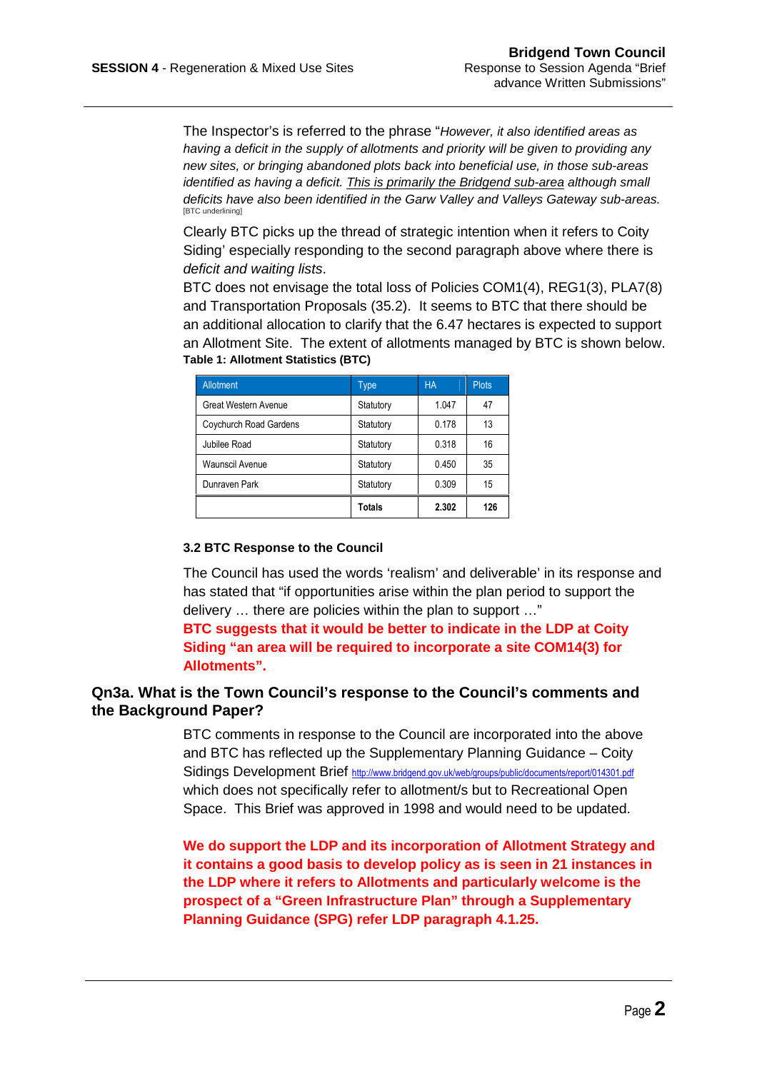The Inspector's is referred to the phrase "However, it also identified areas as having a deficit in the supply of allotments and priority will be given to providing any new sites, or bringing abandoned plots back into beneficial use, in those sub-areas identified as having a deficit. This is primarily the Bridgend sub-area although small deficits have also been identified in the Garw Valley and Valleys Gateway sub-areas. [BTC underlining]

Clearly BTC picks up the thread of strategic intention when it refers to Coity Siding' especially responding to the second paragraph above where there is deficit and waiting lists.

BTC does not envisage the total loss of Policies COM1(4), REG1(3), PLA7(8) and Transportation Proposals (35.2). It seems to BTC that there should be an additional allocation to clarify that the 6.47 hectares is expected to support an Allotment Site. The extent of allotments managed by BTC is shown below. **Table 1: Allotment Statistics (BTC)** 

| Allotment                   | Type          | <b>HA</b> | <b>Plots</b> |
|-----------------------------|---------------|-----------|--------------|
| <b>Great Western Avenue</b> | Statutory     | 1.047     | 47           |
| Coychurch Road Gardens      | Statutory     | 0.178     | 13           |
| Jubilee Road                | Statutory     | 0.318     | 16           |
| <b>Waunscil Avenue</b>      | Statutory     | 0.450     | 35           |
| Dunraven Park               | Statutory     | 0.309     | 15           |
|                             | <b>Totals</b> | 2.302     | 126          |

### **3.2 BTC Response to the Council**

The Council has used the words 'realism' and deliverable' in its response and has stated that "if opportunities arise within the plan period to support the delivery … there are policies within the plan to support …"

**BTC suggests that it would be better to indicate in the LDP at Coity Siding "an area will be required to incorporate a site COM14(3) for Allotments".** 

## **Qn3a. What is the Town Council's response to the Council's comments and the Background Paper?**

BTC comments in response to the Council are incorporated into the above and BTC has reflected up the Supplementary Planning Guidance – Coity Sidings Development Brief http://www.bridgend.gov.uk/web/groups/public/documents/report/014301.pdf which does not specifically refer to allotment/s but to Recreational Open Space. This Brief was approved in 1998 and would need to be updated.

**We do support the LDP and its incorporation of Allotment Strategy and it contains a good basis to develop policy as is seen in 21 instances in the LDP where it refers to Allotments and particularly welcome is the prospect of a "Green Infrastructure Plan" through a Supplementary Planning Guidance (SPG) refer LDP paragraph 4.1.25.**